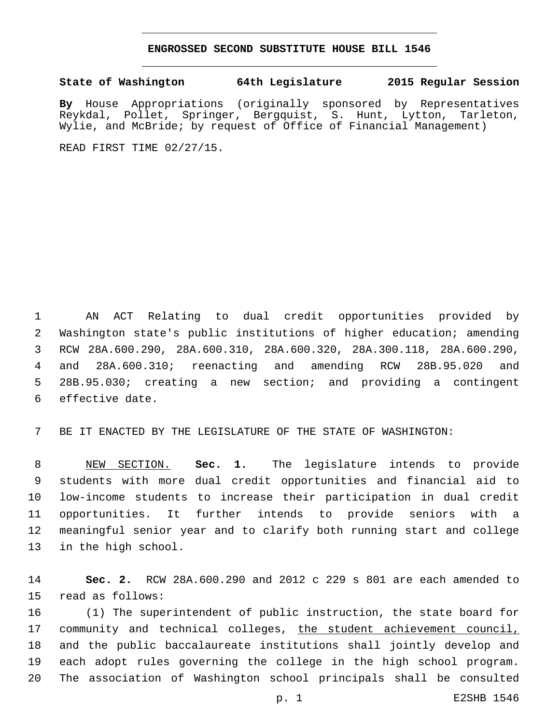## **ENGROSSED SECOND SUBSTITUTE HOUSE BILL 1546**

## **State of Washington 64th Legislature 2015 Regular Session**

**By** House Appropriations (originally sponsored by Representatives Reykdal, Pollet, Springer, Bergquist, S. Hunt, Lytton, Tarleton, Wylie, and McBride; by request of Office of Financial Management)

READ FIRST TIME 02/27/15.

 AN ACT Relating to dual credit opportunities provided by Washington state's public institutions of higher education; amending RCW 28A.600.290, 28A.600.310, 28A.600.320, 28A.300.118, 28A.600.290, and 28A.600.310; reenacting and amending RCW 28B.95.020 and 28B.95.030; creating a new section; and providing a contingent 6 effective date.

BE IT ENACTED BY THE LEGISLATURE OF THE STATE OF WASHINGTON:

 NEW SECTION. **Sec. 1.** The legislature intends to provide students with more dual credit opportunities and financial aid to low-income students to increase their participation in dual credit opportunities. It further intends to provide seniors with a meaningful senior year and to clarify both running start and college in the high school.

 **Sec. 2.** RCW 28A.600.290 and 2012 c 229 s 801 are each amended to 15 read as follows:

 (1) The superintendent of public instruction, the state board for community and technical colleges, the student achievement council, and the public baccalaureate institutions shall jointly develop and each adopt rules governing the college in the high school program. The association of Washington school principals shall be consulted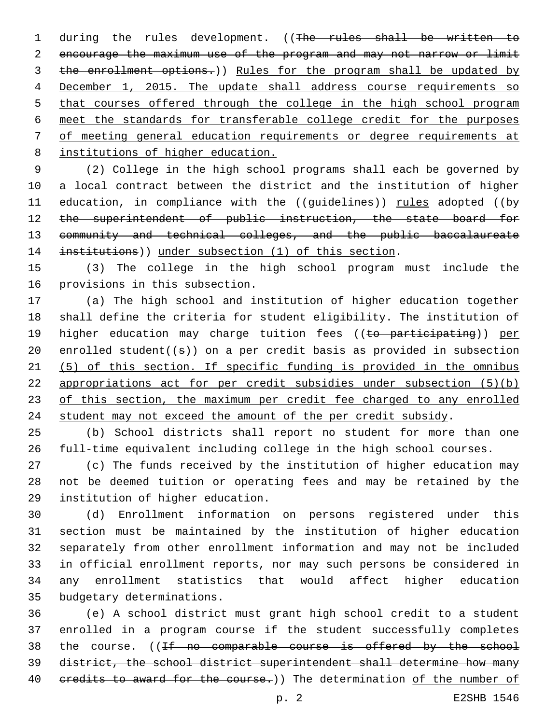1 during the rules development. ((The rules shall be written to encourage the maximum use of the program and may not narrow or limit the enrollment options.)) Rules for the program shall be updated by December 1, 2015. The update shall address course requirements so 5 that courses offered through the college in the high school program meet the standards for transferable college credit for the purposes of meeting general education requirements or degree requirements at institutions of higher education.

 (2) College in the high school programs shall each be governed by a local contract between the district and the institution of higher 11 education, in compliance with the ((guidelines)) rules adopted ((by 12 the superintendent of public instruction, the state board for community and technical colleges, and the public baccalaureate 14 institutions)) under subsection (1) of this section.

 (3) The college in the high school program must include the 16 provisions in this subsection.

 (a) The high school and institution of higher education together shall define the criteria for student eligibility. The institution of 19 higher education may charge tuition fees ((to participating)) per 20 enrolled student $((s))$  on a per credit basis as provided in subsection (5) of this section. If specific funding is provided in the omnibus appropriations act for per credit subsidies under subsection (5)(b) of this section, the maximum per credit fee charged to any enrolled student may not exceed the amount of the per credit subsidy.

 (b) School districts shall report no student for more than one full-time equivalent including college in the high school courses.

 (c) The funds received by the institution of higher education may not be deemed tuition or operating fees and may be retained by the 29 institution of higher education.

 (d) Enrollment information on persons registered under this section must be maintained by the institution of higher education separately from other enrollment information and may not be included in official enrollment reports, nor may such persons be considered in any enrollment statistics that would affect higher education 35 budgetary determinations.

 (e) A school district must grant high school credit to a student enrolled in a program course if the student successfully completes 38 the course. ((If no comparable course is offered by the school district, the school district superintendent shall determine how many 40 credits to award for the course.)) The determination of the number of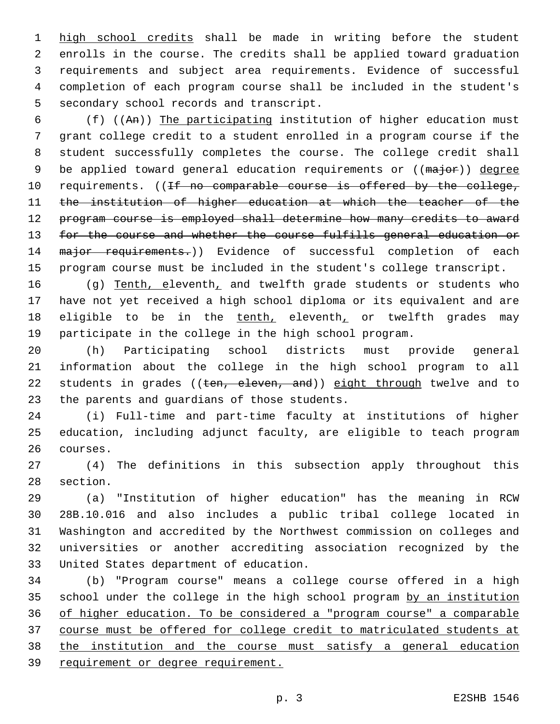1 high school credits shall be made in writing before the student enrolls in the course. The credits shall be applied toward graduation requirements and subject area requirements. Evidence of successful completion of each program course shall be included in the student's 5 secondary school records and transcript.

 (f) ((An)) The participating institution of higher education must grant college credit to a student enrolled in a program course if the student successfully completes the course. The college credit shall 9 be applied toward general education requirements or ((major)) degree 10 requirements. ((If no comparable course is offered by the college, the institution of higher education at which the teacher of the program course is employed shall determine how many credits to award for the course and whether the course fulfills general education or 14 major requirements.)) Evidence of successful completion of each program course must be included in the student's college transcript.

16 (g) Tenth, eleventh, and twelfth grade students or students who have not yet received a high school diploma or its equivalent and are 18 eligible to be in the tenth, eleventh, or twelfth grades may participate in the college in the high school program.

 (h) Participating school districts must provide general information about the college in the high school program to all 22 students in grades ((ten, eleven, and)) eight through twelve and to 23 the parents and quardians of those students.

 (i) Full-time and part-time faculty at institutions of higher education, including adjunct faculty, are eligible to teach program 26 courses.

 (4) The definitions in this subsection apply throughout this 28 section.

 (a) "Institution of higher education" has the meaning in RCW 28B.10.016 and also includes a public tribal college located in Washington and accredited by the Northwest commission on colleges and universities or another accrediting association recognized by the 33 United States department of education.

 (b) "Program course" means a college course offered in a high school under the college in the high school program by an institution of higher education. To be considered a "program course" a comparable course must be offered for college credit to matriculated students at the institution and the course must satisfy a general education 39 requirement or degree requirement.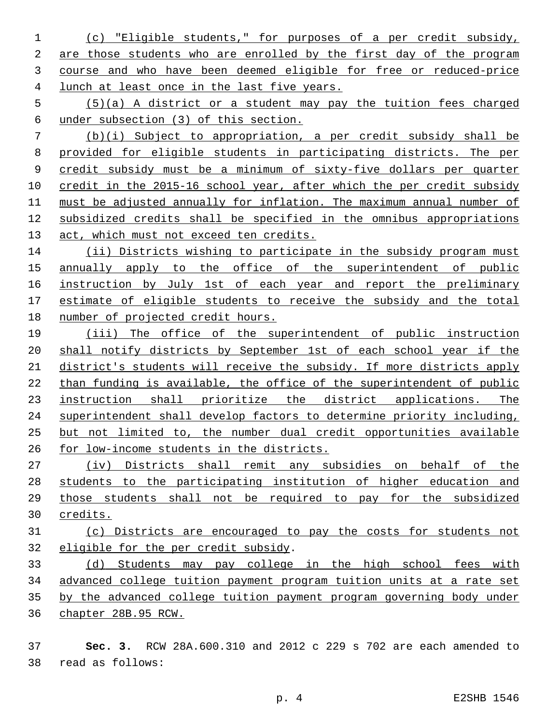- (c) "Eligible students," for purposes of a per credit subsidy, are those students who are enrolled by the first day of the program course and who have been deemed eligible for free or reduced-price lunch at least once in the last five years.
- (5)(a) A district or a student may pay the tuition fees charged under subsection (3) of this section.

 (b)(i) Subject to appropriation, a per credit subsidy shall be provided for eligible students in participating districts. The per credit subsidy must be a minimum of sixty-five dollars per quarter 10 credit in the 2015-16 school year, after which the per credit subsidy must be adjusted annually for inflation. The maximum annual number of subsidized credits shall be specified in the omnibus appropriations 13 act, which must not exceed ten credits.

14 (ii) Districts wishing to participate in the subsidy program must annually apply to the office of the superintendent of public 16 instruction by July 1st of each year and report the preliminary estimate of eligible students to receive the subsidy and the total number of projected credit hours.

 (iii) The office of the superintendent of public instruction shall notify districts by September 1st of each school year if the district's students will receive the subsidy. If more districts apply than funding is available, the office of the superintendent of public instruction shall prioritize the district applications. The superintendent shall develop factors to determine priority including, but not limited to, the number dual credit opportunities available for low-income students in the districts.

 (iv) Districts shall remit any subsidies on behalf of the students to the participating institution of higher education and those students shall not be required to pay for the subsidized credits.

 (c) Districts are encouraged to pay the costs for students not 32 eligible for the per credit subsidy.

 (d) Students may pay college in the high school fees with advanced college tuition payment program tuition units at a rate set by the advanced college tuition payment program governing body under chapter 28B.95 RCW.

 **Sec. 3.** RCW 28A.600.310 and 2012 c 229 s 702 are each amended to read as follows:38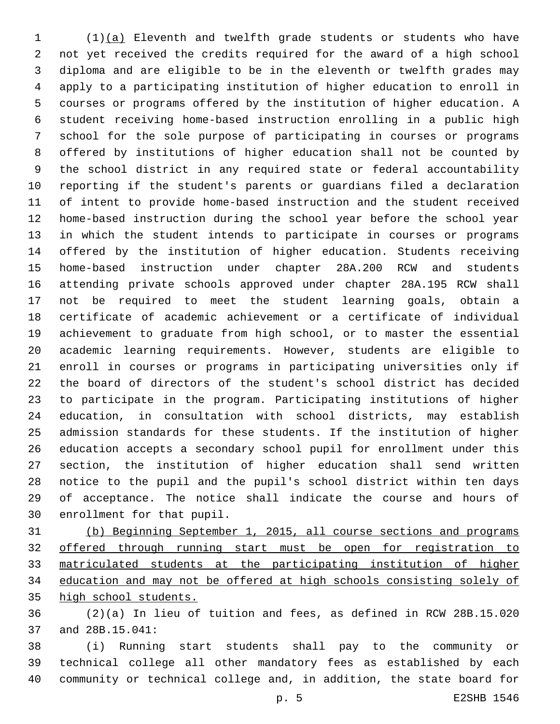(1)(a) Eleventh and twelfth grade students or students who have not yet received the credits required for the award of a high school diploma and are eligible to be in the eleventh or twelfth grades may apply to a participating institution of higher education to enroll in courses or programs offered by the institution of higher education. A student receiving home-based instruction enrolling in a public high school for the sole purpose of participating in courses or programs offered by institutions of higher education shall not be counted by the school district in any required state or federal accountability reporting if the student's parents or guardians filed a declaration of intent to provide home-based instruction and the student received home-based instruction during the school year before the school year in which the student intends to participate in courses or programs offered by the institution of higher education. Students receiving home-based instruction under chapter 28A.200 RCW and students attending private schools approved under chapter 28A.195 RCW shall not be required to meet the student learning goals, obtain a certificate of academic achievement or a certificate of individual achievement to graduate from high school, or to master the essential academic learning requirements. However, students are eligible to enroll in courses or programs in participating universities only if the board of directors of the student's school district has decided to participate in the program. Participating institutions of higher education, in consultation with school districts, may establish admission standards for these students. If the institution of higher education accepts a secondary school pupil for enrollment under this section, the institution of higher education shall send written notice to the pupil and the pupil's school district within ten days of acceptance. The notice shall indicate the course and hours of 30 enrollment for that pupil.

 (b) Beginning September 1, 2015, all course sections and programs offered through running start must be open for registration to matriculated students at the participating institution of higher education and may not be offered at high schools consisting solely of high school students.

 (2)(a) In lieu of tuition and fees, as defined in RCW 28B.15.020 37 and 28B.15.041:

 (i) Running start students shall pay to the community or technical college all other mandatory fees as established by each community or technical college and, in addition, the state board for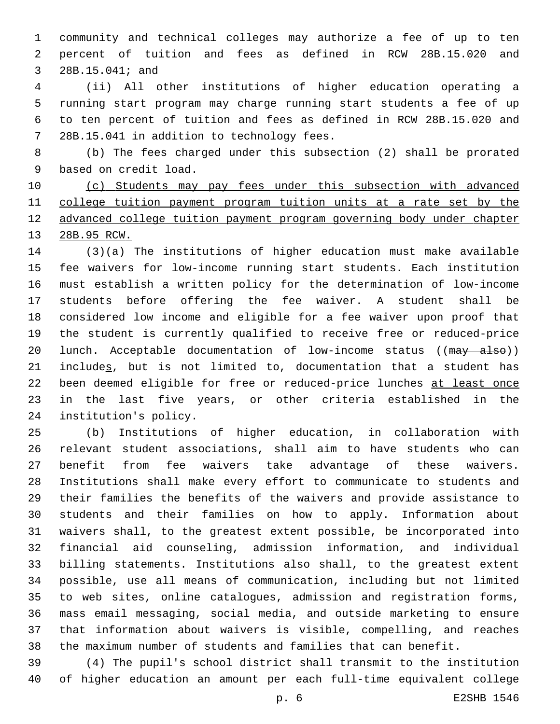community and technical colleges may authorize a fee of up to ten percent of tuition and fees as defined in RCW 28B.15.020 and 3 28B.15.041; and

 (ii) All other institutions of higher education operating a running start program may charge running start students a fee of up to ten percent of tuition and fees as defined in RCW 28B.15.020 and 7 28B.15.041 in addition to technology fees.

 (b) The fees charged under this subsection (2) shall be prorated 9 based on credit load.

 (c) Students may pay fees under this subsection with advanced college tuition payment program tuition units at a rate set by the advanced college tuition payment program governing body under chapter 28B.95 RCW.

 (3)(a) The institutions of higher education must make available fee waivers for low-income running start students. Each institution must establish a written policy for the determination of low-income students before offering the fee waiver. A student shall be considered low income and eligible for a fee waiver upon proof that the student is currently qualified to receive free or reduced-price 20 lunch. Acceptable documentation of low-income status ((may also)) 21 includes, but is not limited to, documentation that a student has been deemed eligible for free or reduced-price lunches at least once in the last five years, or other criteria established in the 24 institution's policy.

 (b) Institutions of higher education, in collaboration with relevant student associations, shall aim to have students who can benefit from fee waivers take advantage of these waivers. Institutions shall make every effort to communicate to students and their families the benefits of the waivers and provide assistance to students and their families on how to apply. Information about waivers shall, to the greatest extent possible, be incorporated into financial aid counseling, admission information, and individual billing statements. Institutions also shall, to the greatest extent possible, use all means of communication, including but not limited to web sites, online catalogues, admission and registration forms, mass email messaging, social media, and outside marketing to ensure that information about waivers is visible, compelling, and reaches the maximum number of students and families that can benefit.

 (4) The pupil's school district shall transmit to the institution of higher education an amount per each full-time equivalent college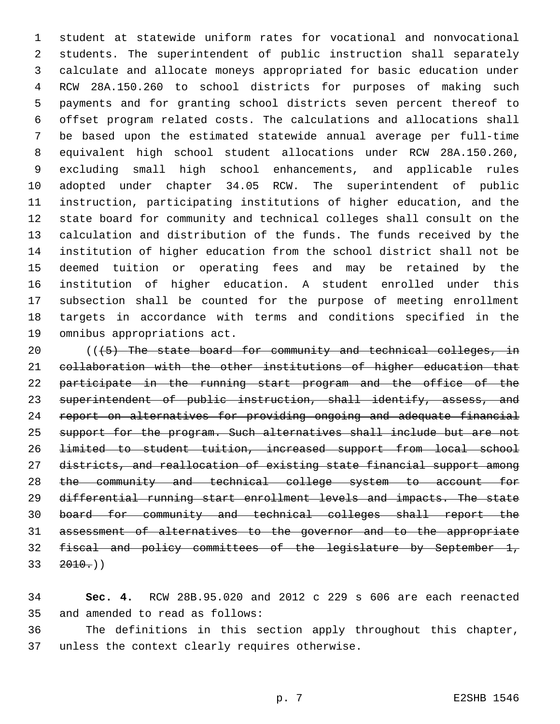student at statewide uniform rates for vocational and nonvocational students. The superintendent of public instruction shall separately calculate and allocate moneys appropriated for basic education under RCW 28A.150.260 to school districts for purposes of making such payments and for granting school districts seven percent thereof to offset program related costs. The calculations and allocations shall be based upon the estimated statewide annual average per full-time equivalent high school student allocations under RCW 28A.150.260, excluding small high school enhancements, and applicable rules adopted under chapter 34.05 RCW. The superintendent of public instruction, participating institutions of higher education, and the state board for community and technical colleges shall consult on the calculation and distribution of the funds. The funds received by the institution of higher education from the school district shall not be deemed tuition or operating fees and may be retained by the institution of higher education. A student enrolled under this subsection shall be counted for the purpose of meeting enrollment targets in accordance with terms and conditions specified in the 19 omnibus appropriations act.

20 (((5) The state board for community and technical colleges, in collaboration with the other institutions of higher education that 22 participate in the running start program and the office of the 23 superintendent of public instruction, shall identify, assess, and report on alternatives for providing ongoing and adequate financial 25 support for the program. Such alternatives shall include but are not limited to student tuition, increased support from local school districts, and reallocation of existing state financial support among the community and technical college system to account for differential running start enrollment levels and impacts. The state board for community and technical colleges shall report the assessment of alternatives to the governor and to the appropriate fiscal and policy committees of the legislature by September 1,  $33 \quad 2010.)$ 

 **Sec. 4.** RCW 28B.95.020 and 2012 c 229 s 606 are each reenacted 35 and amended to read as follows:

 The definitions in this section apply throughout this chapter, 37 unless the context clearly requires otherwise.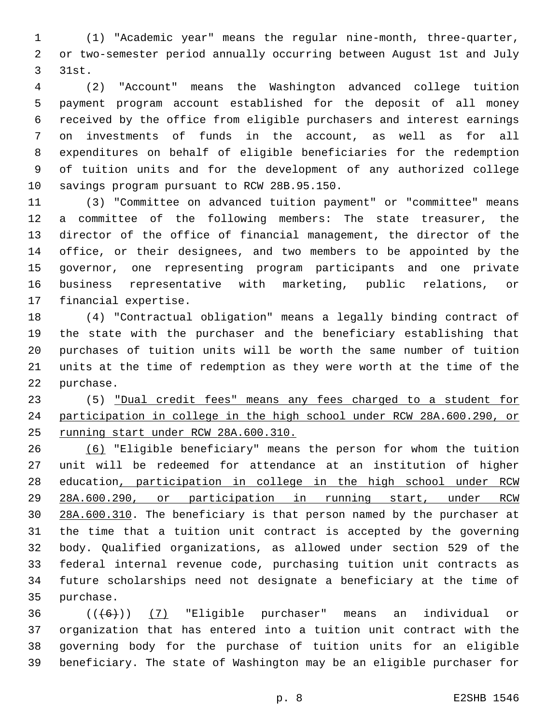(1) "Academic year" means the regular nine-month, three-quarter, or two-semester period annually occurring between August 1st and July 3 31st.

 (2) "Account" means the Washington advanced college tuition payment program account established for the deposit of all money received by the office from eligible purchasers and interest earnings on investments of funds in the account, as well as for all expenditures on behalf of eligible beneficiaries for the redemption of tuition units and for the development of any authorized college 10 savings program pursuant to RCW 28B.95.150.

 (3) "Committee on advanced tuition payment" or "committee" means a committee of the following members: The state treasurer, the director of the office of financial management, the director of the office, or their designees, and two members to be appointed by the governor, one representing program participants and one private business representative with marketing, public relations, or 17 financial expertise.

 (4) "Contractual obligation" means a legally binding contract of the state with the purchaser and the beneficiary establishing that purchases of tuition units will be worth the same number of tuition units at the time of redemption as they were worth at the time of the 22 purchase.

 (5) "Dual credit fees" means any fees charged to a student for participation in college in the high school under RCW 28A.600.290, or running start under RCW 28A.600.310.

 (6) "Eligible beneficiary" means the person for whom the tuition unit will be redeemed for attendance at an institution of higher education, participation in college in the high school under RCW 28A.600.290, or participation in running start, under RCW 28A.600.310. The beneficiary is that person named by the purchaser at the time that a tuition unit contract is accepted by the governing body. Qualified organizations, as allowed under section 529 of the federal internal revenue code, purchasing tuition unit contracts as future scholarships need not designate a beneficiary at the time of 35 purchase.

  $((+6)$ )  $(7)$  "Eligible purchaser" means an individual or organization that has entered into a tuition unit contract with the governing body for the purchase of tuition units for an eligible beneficiary. The state of Washington may be an eligible purchaser for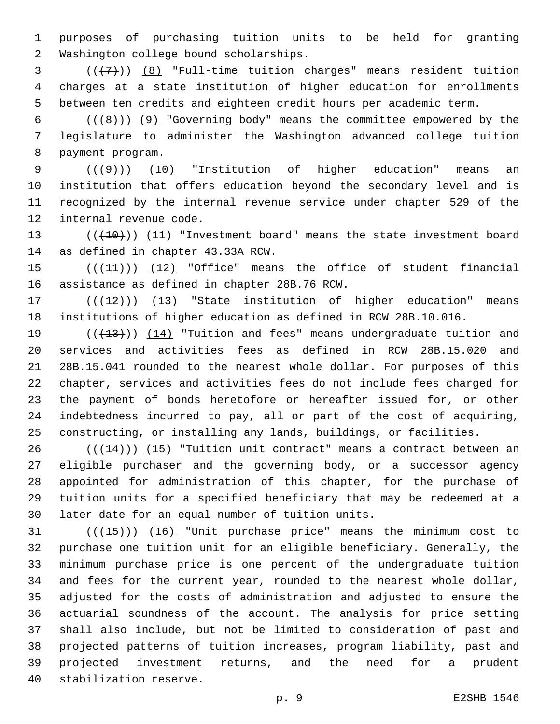purposes of purchasing tuition units to be held for granting 2 Washington college bound scholarships.

3  $((+7))$   $(8)$  "Full-time tuition charges" means resident tuition charges at a state institution of higher education for enrollments between ten credits and eighteen credit hours per academic term.

6  $((+8))$  (9) "Governing body" means the committee empowered by the legislature to administer the Washington advanced college tuition 8 payment program.

 $((+9))$  (10) "Institution of higher education" means an institution that offers education beyond the secondary level and is recognized by the internal revenue service under chapter 529 of the 12 internal revenue code.

13 (( $(10)$ )) (11) "Investment board" means the state investment board 14 as defined in chapter 43.33A RCW.

15  $((+11))$  (12) "Office" means the office of student financial 16 assistance as defined in chapter 28B.76 RCW.

17 (( $(12)$ )) (13) "State institution of higher education" means institutions of higher education as defined in RCW 28B.10.016.

 $((+13))$   $(14)$  "Tuition and fees" means undergraduate tuition and services and activities fees as defined in RCW 28B.15.020 and 28B.15.041 rounded to the nearest whole dollar. For purposes of this chapter, services and activities fees do not include fees charged for the payment of bonds heretofore or hereafter issued for, or other indebtedness incurred to pay, all or part of the cost of acquiring, constructing, or installing any lands, buildings, or facilities.

 (( $(144)$ )) (15) "Tuition unit contract" means a contract between an eligible purchaser and the governing body, or a successor agency appointed for administration of this chapter, for the purchase of tuition units for a specified beneficiary that may be redeemed at a 30 later date for an equal number of tuition units.

31 (( $(15)$ )) (16) "Unit purchase price" means the minimum cost to purchase one tuition unit for an eligible beneficiary. Generally, the minimum purchase price is one percent of the undergraduate tuition and fees for the current year, rounded to the nearest whole dollar, adjusted for the costs of administration and adjusted to ensure the actuarial soundness of the account. The analysis for price setting shall also include, but not be limited to consideration of past and projected patterns of tuition increases, program liability, past and projected investment returns, and the need for a prudent 40 stabilization reserve.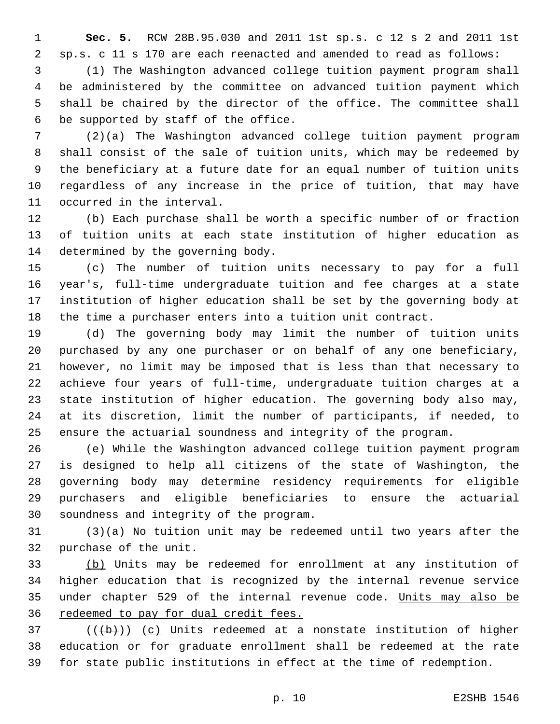**Sec. 5.** RCW 28B.95.030 and 2011 1st sp.s. c 12 s 2 and 2011 1st sp.s. c 11 s 170 are each reenacted and amended to read as follows:

 (1) The Washington advanced college tuition payment program shall be administered by the committee on advanced tuition payment which shall be chaired by the director of the office. The committee shall 6 be supported by staff of the office.

 (2)(a) The Washington advanced college tuition payment program shall consist of the sale of tuition units, which may be redeemed by the beneficiary at a future date for an equal number of tuition units regardless of any increase in the price of tuition, that may have 11 occurred in the interval.

 (b) Each purchase shall be worth a specific number of or fraction of tuition units at each state institution of higher education as 14 determined by the governing body.

 (c) The number of tuition units necessary to pay for a full year's, full-time undergraduate tuition and fee charges at a state institution of higher education shall be set by the governing body at the time a purchaser enters into a tuition unit contract.

 (d) The governing body may limit the number of tuition units purchased by any one purchaser or on behalf of any one beneficiary, however, no limit may be imposed that is less than that necessary to achieve four years of full-time, undergraduate tuition charges at a state institution of higher education. The governing body also may, at its discretion, limit the number of participants, if needed, to ensure the actuarial soundness and integrity of the program.

 (e) While the Washington advanced college tuition payment program is designed to help all citizens of the state of Washington, the governing body may determine residency requirements for eligible purchasers and eligible beneficiaries to ensure the actuarial 30 soundness and integrity of the program.

 (3)(a) No tuition unit may be redeemed until two years after the 32 purchase of the unit.

 (b) Units may be redeemed for enrollment at any institution of higher education that is recognized by the internal revenue service 35 under chapter 529 of the internal revenue code. Units may also be redeemed to pay for dual credit fees.

 (( $\left(\frac{1}{2}+\right)$ ) (c) Units redeemed at a nonstate institution of higher education or for graduate enrollment shall be redeemed at the rate for state public institutions in effect at the time of redemption.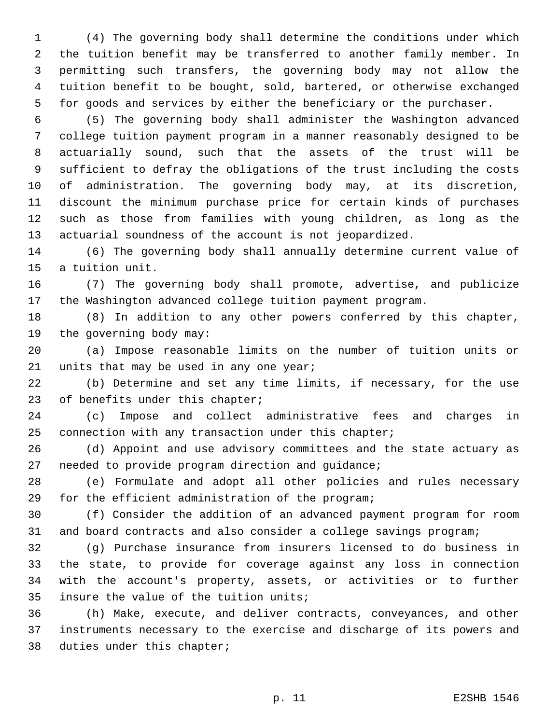(4) The governing body shall determine the conditions under which the tuition benefit may be transferred to another family member. In permitting such transfers, the governing body may not allow the tuition benefit to be bought, sold, bartered, or otherwise exchanged for goods and services by either the beneficiary or the purchaser.

 (5) The governing body shall administer the Washington advanced college tuition payment program in a manner reasonably designed to be actuarially sound, such that the assets of the trust will be sufficient to defray the obligations of the trust including the costs of administration. The governing body may, at its discretion, discount the minimum purchase price for certain kinds of purchases such as those from families with young children, as long as the actuarial soundness of the account is not jeopardized.

 (6) The governing body shall annually determine current value of 15 a tuition unit.

 (7) The governing body shall promote, advertise, and publicize the Washington advanced college tuition payment program.

 (8) In addition to any other powers conferred by this chapter, 19 the governing body may:

 (a) Impose reasonable limits on the number of tuition units or 21 units that may be used in any one year;

 (b) Determine and set any time limits, if necessary, for the use 23 of benefits under this chapter;

 (c) Impose and collect administrative fees and charges in connection with any transaction under this chapter;

 (d) Appoint and use advisory committees and the state actuary as 27 needed to provide program direction and guidance;

 (e) Formulate and adopt all other policies and rules necessary 29 for the efficient administration of the program;

 (f) Consider the addition of an advanced payment program for room and board contracts and also consider a college savings program;

 (g) Purchase insurance from insurers licensed to do business in the state, to provide for coverage against any loss in connection with the account's property, assets, or activities or to further 35 insure the value of the tuition units;

 (h) Make, execute, and deliver contracts, conveyances, and other instruments necessary to the exercise and discharge of its powers and 38 duties under this chapter;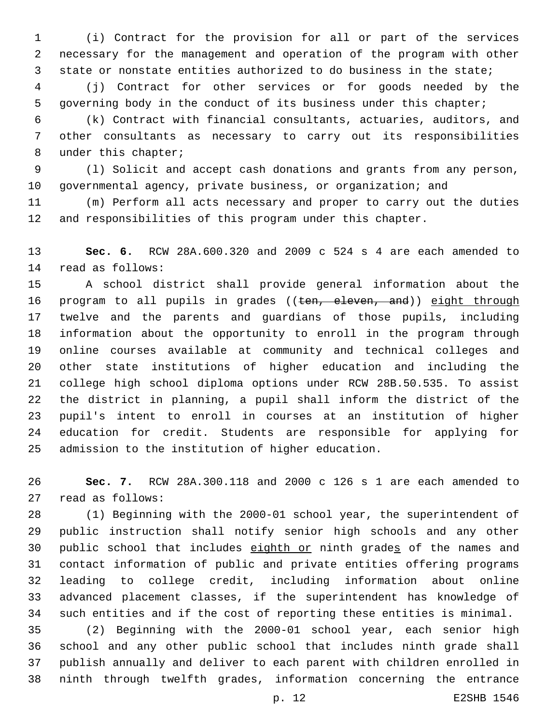(i) Contract for the provision for all or part of the services necessary for the management and operation of the program with other state or nonstate entities authorized to do business in the state;

 (j) Contract for other services or for goods needed by the governing body in the conduct of its business under this chapter;

 (k) Contract with financial consultants, actuaries, auditors, and other consultants as necessary to carry out its responsibilities 8 under this chapter;

 (l) Solicit and accept cash donations and grants from any person, governmental agency, private business, or organization; and

 (m) Perform all acts necessary and proper to carry out the duties and responsibilities of this program under this chapter.

 **Sec. 6.** RCW 28A.600.320 and 2009 c 524 s 4 are each amended to 14 read as follows:

 A school district shall provide general information about the 16 program to all pupils in grades ((ten, eleven, and)) eight through twelve and the parents and guardians of those pupils, including information about the opportunity to enroll in the program through online courses available at community and technical colleges and other state institutions of higher education and including the college high school diploma options under RCW 28B.50.535. To assist the district in planning, a pupil shall inform the district of the pupil's intent to enroll in courses at an institution of higher education for credit. Students are responsible for applying for 25 admission to the institution of higher education.

 **Sec. 7.** RCW 28A.300.118 and 2000 c 126 s 1 are each amended to 27 read as follows:

 (1) Beginning with the 2000-01 school year, the superintendent of public instruction shall notify senior high schools and any other 30 public school that includes eighth or ninth grades of the names and contact information of public and private entities offering programs leading to college credit, including information about online advanced placement classes, if the superintendent has knowledge of such entities and if the cost of reporting these entities is minimal.

 (2) Beginning with the 2000-01 school year, each senior high school and any other public school that includes ninth grade shall publish annually and deliver to each parent with children enrolled in ninth through twelfth grades, information concerning the entrance

p. 12 E2SHB 1546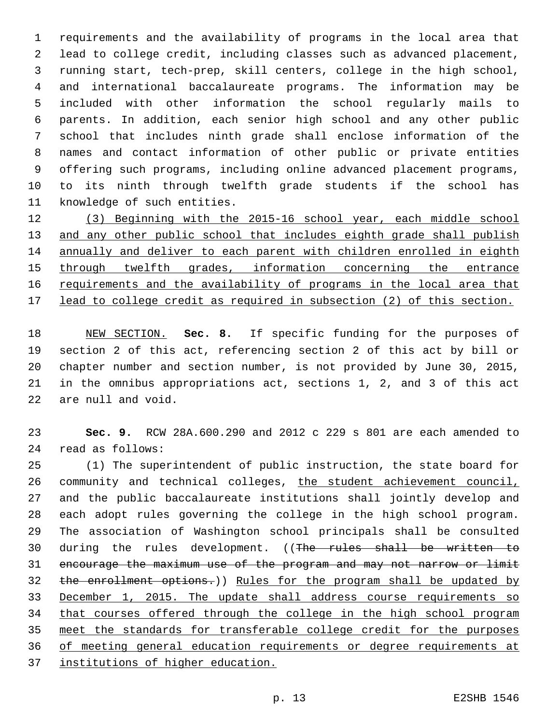requirements and the availability of programs in the local area that lead to college credit, including classes such as advanced placement, running start, tech-prep, skill centers, college in the high school, and international baccalaureate programs. The information may be included with other information the school regularly mails to parents. In addition, each senior high school and any other public school that includes ninth grade shall enclose information of the names and contact information of other public or private entities offering such programs, including online advanced placement programs, to its ninth through twelfth grade students if the school has 11 knowledge of such entities.

 (3) Beginning with the 2015-16 school year, each middle school 13 and any other public school that includes eighth grade shall publish annually and deliver to each parent with children enrolled in eighth through twelfth grades, information concerning the entrance 16 requirements and the availability of programs in the local area that lead to college credit as required in subsection (2) of this section.

 NEW SECTION. **Sec. 8.** If specific funding for the purposes of section 2 of this act, referencing section 2 of this act by bill or chapter number and section number, is not provided by June 30, 2015, in the omnibus appropriations act, sections 1, 2, and 3 of this act are null and void.

 **Sec. 9.** RCW 28A.600.290 and 2012 c 229 s 801 are each amended to read as follows:24

 (1) The superintendent of public instruction, the state board for community and technical colleges, the student achievement council, and the public baccalaureate institutions shall jointly develop and each adopt rules governing the college in the high school program. The association of Washington school principals shall be consulted 30 during the rules development. ((The rules shall be written to encourage the maximum use of the program and may not narrow or limit the enrollment options.)) Rules for the program shall be updated by December 1, 2015. The update shall address course requirements so that courses offered through the college in the high school program meet the standards for transferable college credit for the purposes of meeting general education requirements or degree requirements at institutions of higher education.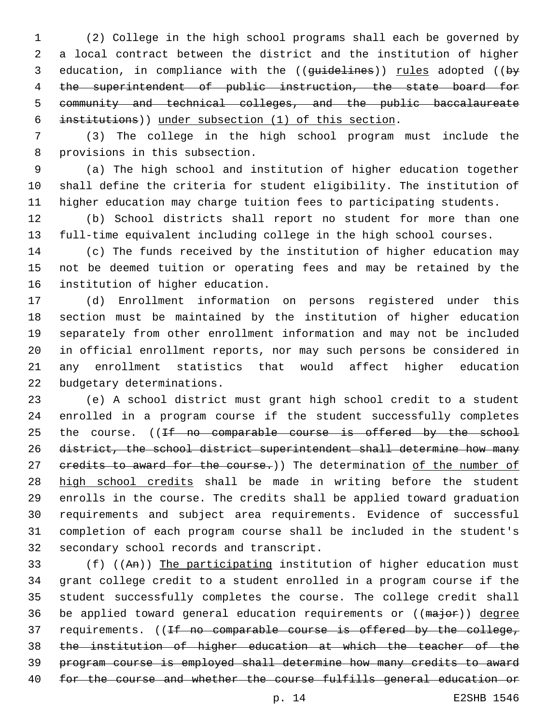(2) College in the high school programs shall each be governed by a local contract between the district and the institution of higher 3 education, in compliance with the ((guidelines)) rules adopted ((by the superintendent of public instruction, the state board for community and technical colleges, and the public baccalaureate institutions)) under subsection (1) of this section.

 (3) The college in the high school program must include the 8 provisions in this subsection.

 (a) The high school and institution of higher education together shall define the criteria for student eligibility. The institution of higher education may charge tuition fees to participating students.

 (b) School districts shall report no student for more than one full-time equivalent including college in the high school courses.

 (c) The funds received by the institution of higher education may not be deemed tuition or operating fees and may be retained by the 16 institution of higher education.

 (d) Enrollment information on persons registered under this section must be maintained by the institution of higher education separately from other enrollment information and may not be included in official enrollment reports, nor may such persons be considered in any enrollment statistics that would affect higher education 22 budgetary determinations.

 (e) A school district must grant high school credit to a student enrolled in a program course if the student successfully completes 25 the course. ((If no comparable course is offered by the school district, the school district superintendent shall determine how many 27 eredits to award for the course.)) The determination of the number of high school credits shall be made in writing before the student enrolls in the course. The credits shall be applied toward graduation requirements and subject area requirements. Evidence of successful completion of each program course shall be included in the student's 32 secondary school records and transcript.

 (f) ((An)) The participating institution of higher education must grant college credit to a student enrolled in a program course if the student successfully completes the course. The college credit shall 36 be applied toward general education requirements or ((major)) degree 37 requirements. ((If no comparable course is offered by the college, the institution of higher education at which the teacher of the program course is employed shall determine how many credits to award for the course and whether the course fulfills general education or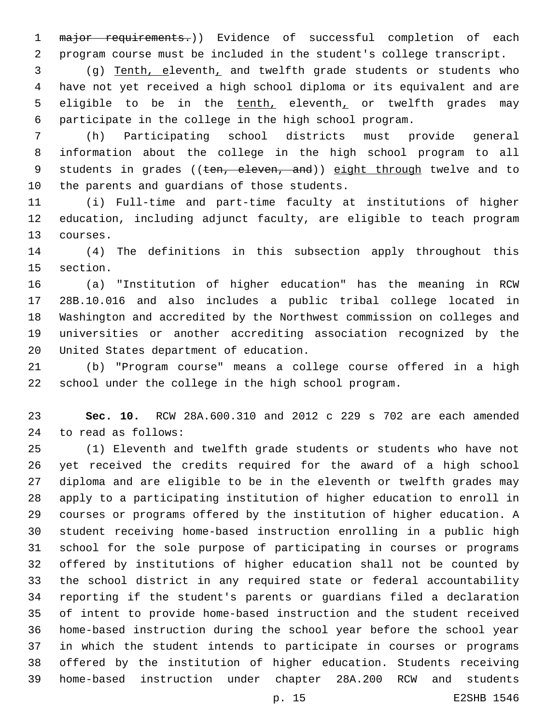1 major requirements.)) Evidence of successful completion of each program course must be included in the student's college transcript.

 (g) Tenth, eleventh, and twelfth grade students or students who have not yet received a high school diploma or its equivalent and are 5 eligible to be in the tenth, eleventh, or twelfth grades may participate in the college in the high school program.

 (h) Participating school districts must provide general information about the college in the high school program to all 9 students in grades ((ten, eleven, and)) eight through twelve and to 10 the parents and guardians of those students.

 (i) Full-time and part-time faculty at institutions of higher education, including adjunct faculty, are eligible to teach program 13 courses.

 (4) The definitions in this subsection apply throughout this 15 section.

 (a) "Institution of higher education" has the meaning in RCW 28B.10.016 and also includes a public tribal college located in Washington and accredited by the Northwest commission on colleges and universities or another accrediting association recognized by the 20 United States department of education.

 (b) "Program course" means a college course offered in a high school under the college in the high school program.

 **Sec. 10.** RCW 28A.600.310 and 2012 c 229 s 702 are each amended 24 to read as follows:

 (1) Eleventh and twelfth grade students or students who have not yet received the credits required for the award of a high school diploma and are eligible to be in the eleventh or twelfth grades may apply to a participating institution of higher education to enroll in courses or programs offered by the institution of higher education. A student receiving home-based instruction enrolling in a public high school for the sole purpose of participating in courses or programs offered by institutions of higher education shall not be counted by the school district in any required state or federal accountability reporting if the student's parents or guardians filed a declaration of intent to provide home-based instruction and the student received home-based instruction during the school year before the school year in which the student intends to participate in courses or programs offered by the institution of higher education. Students receiving home-based instruction under chapter 28A.200 RCW and students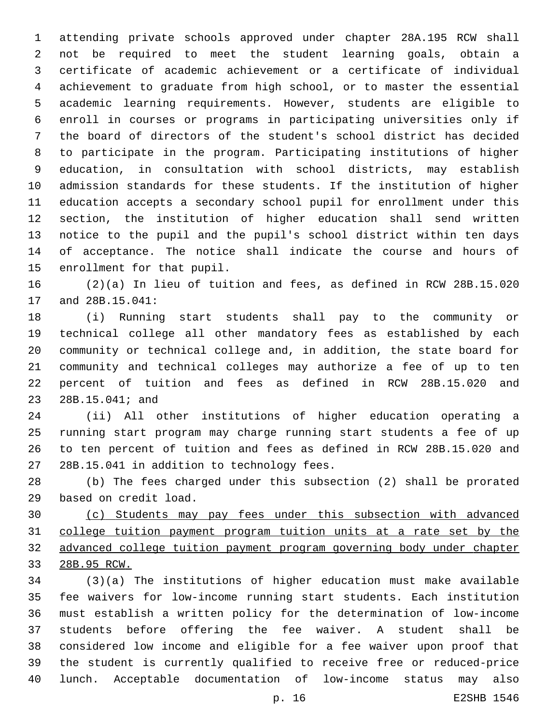attending private schools approved under chapter 28A.195 RCW shall not be required to meet the student learning goals, obtain a certificate of academic achievement or a certificate of individual achievement to graduate from high school, or to master the essential academic learning requirements. However, students are eligible to enroll in courses or programs in participating universities only if the board of directors of the student's school district has decided to participate in the program. Participating institutions of higher education, in consultation with school districts, may establish admission standards for these students. If the institution of higher education accepts a secondary school pupil for enrollment under this section, the institution of higher education shall send written notice to the pupil and the pupil's school district within ten days of acceptance. The notice shall indicate the course and hours of 15 enrollment for that pupil.

 (2)(a) In lieu of tuition and fees, as defined in RCW 28B.15.020 17 and 28B.15.041:

 (i) Running start students shall pay to the community or technical college all other mandatory fees as established by each community or technical college and, in addition, the state board for community and technical colleges may authorize a fee of up to ten percent of tuition and fees as defined in RCW 28B.15.020 and 23 28B.15.041; and

 (ii) All other institutions of higher education operating a running start program may charge running start students a fee of up to ten percent of tuition and fees as defined in RCW 28B.15.020 and 27 28B.15.041 in addition to technology fees.

 (b) The fees charged under this subsection (2) shall be prorated 29 based on credit load.

 (c) Students may pay fees under this subsection with advanced college tuition payment program tuition units at a rate set by the advanced college tuition payment program governing body under chapter 28B.95 RCW.

 (3)(a) The institutions of higher education must make available fee waivers for low-income running start students. Each institution must establish a written policy for the determination of low-income students before offering the fee waiver. A student shall be considered low income and eligible for a fee waiver upon proof that the student is currently qualified to receive free or reduced-price lunch. Acceptable documentation of low-income status may also

p. 16 E2SHB 1546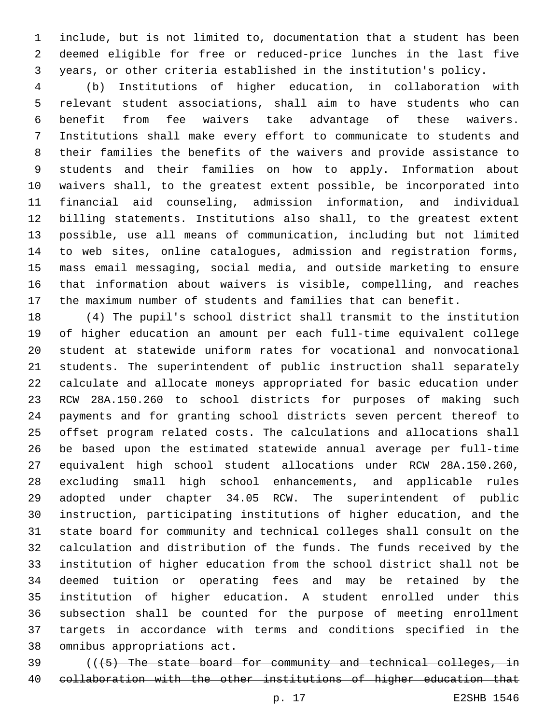include, but is not limited to, documentation that a student has been deemed eligible for free or reduced-price lunches in the last five years, or other criteria established in the institution's policy.

 (b) Institutions of higher education, in collaboration with relevant student associations, shall aim to have students who can benefit from fee waivers take advantage of these waivers. Institutions shall make every effort to communicate to students and their families the benefits of the waivers and provide assistance to students and their families on how to apply. Information about waivers shall, to the greatest extent possible, be incorporated into financial aid counseling, admission information, and individual billing statements. Institutions also shall, to the greatest extent possible, use all means of communication, including but not limited to web sites, online catalogues, admission and registration forms, mass email messaging, social media, and outside marketing to ensure that information about waivers is visible, compelling, and reaches the maximum number of students and families that can benefit.

 (4) The pupil's school district shall transmit to the institution of higher education an amount per each full-time equivalent college student at statewide uniform rates for vocational and nonvocational students. The superintendent of public instruction shall separately calculate and allocate moneys appropriated for basic education under RCW 28A.150.260 to school districts for purposes of making such payments and for granting school districts seven percent thereof to offset program related costs. The calculations and allocations shall be based upon the estimated statewide annual average per full-time equivalent high school student allocations under RCW 28A.150.260, excluding small high school enhancements, and applicable rules adopted under chapter 34.05 RCW. The superintendent of public instruction, participating institutions of higher education, and the state board for community and technical colleges shall consult on the calculation and distribution of the funds. The funds received by the institution of higher education from the school district shall not be deemed tuition or operating fees and may be retained by the institution of higher education. A student enrolled under this subsection shall be counted for the purpose of meeting enrollment targets in accordance with terms and conditions specified in the 38 omnibus appropriations act.

 (((5) The state board for community and technical colleges, in collaboration with the other institutions of higher education that